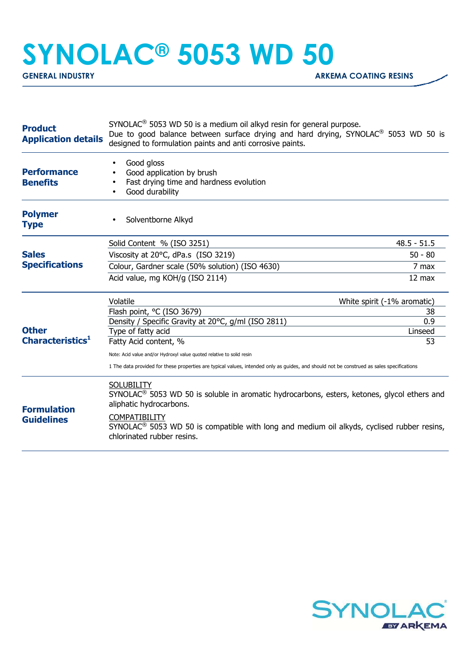## **SYNOLAC® 5053 WD 50**

| <b>Product</b><br><b>Application details</b> | $SYNOLAC®$ 5053 WD 50 is a medium oil alkyd resin for general purpose.<br>Due to good balance between surface drying and hard drying, SYNOLAC <sup>®</sup> 5053 WD 50 is<br>designed to formulation paints and anti corrosive paints. |                  |
|----------------------------------------------|---------------------------------------------------------------------------------------------------------------------------------------------------------------------------------------------------------------------------------------|------------------|
| <b>Performance</b><br><b>Benefits</b>        | Good gloss<br>Good application by brush<br>Fast drying time and hardness evolution<br>Good durability<br>$\bullet$                                                                                                                    |                  |
| <b>Polymer</b><br><b>Type</b>                | Solventborne Alkyd                                                                                                                                                                                                                    |                  |
|                                              | Solid Content % (ISO 3251)                                                                                                                                                                                                            | $48.5 - 51.5$    |
| <b>Sales</b><br><b>Specifications</b>        | Viscosity at 20°C, dPa.s (ISO 3219)                                                                                                                                                                                                   | $50 - 80$        |
|                                              | Colour, Gardner scale (50% solution) (ISO 4630)                                                                                                                                                                                       | 7 max            |
|                                              | Acid value, mg KOH/g (ISO 2114)                                                                                                                                                                                                       | $12 \text{ max}$ |
| <b>Other</b><br>Characteristics <sup>1</sup> | Volatile<br>White spirit (-1% aromatic)                                                                                                                                                                                               |                  |
|                                              | Flash point, °C (ISO 3679)                                                                                                                                                                                                            | 38               |
|                                              | Density / Specific Gravity at 20°C, g/ml (ISO 2811)<br>Type of fatty acid                                                                                                                                                             | 0.9<br>Linseed   |
|                                              | Fatty Acid content, %                                                                                                                                                                                                                 | 53               |
|                                              | Note: Acid value and/or Hydroxyl value quoted relative to solid resin                                                                                                                                                                 |                  |
|                                              | 1 The data provided for these properties are typical values, intended only as guides, and should not be construed as sales specifications                                                                                             |                  |
| <b>Formulation</b><br><b>Guidelines</b>      | <b>SOLUBILITY</b><br>SYNOLAC <sup>®</sup> 5053 WD 50 is soluble in aromatic hydrocarbons, esters, ketones, glycol ethers and<br>aliphatic hydrocarbons.<br><b>COMPATIBILITY</b>                                                       |                  |
|                                              | SYNOLAC <sup>®</sup> 5053 WD 50 is compatible with long and medium oil alkyds, cyclised rubber resins,<br>chlorinated rubber resins.                                                                                                  |                  |